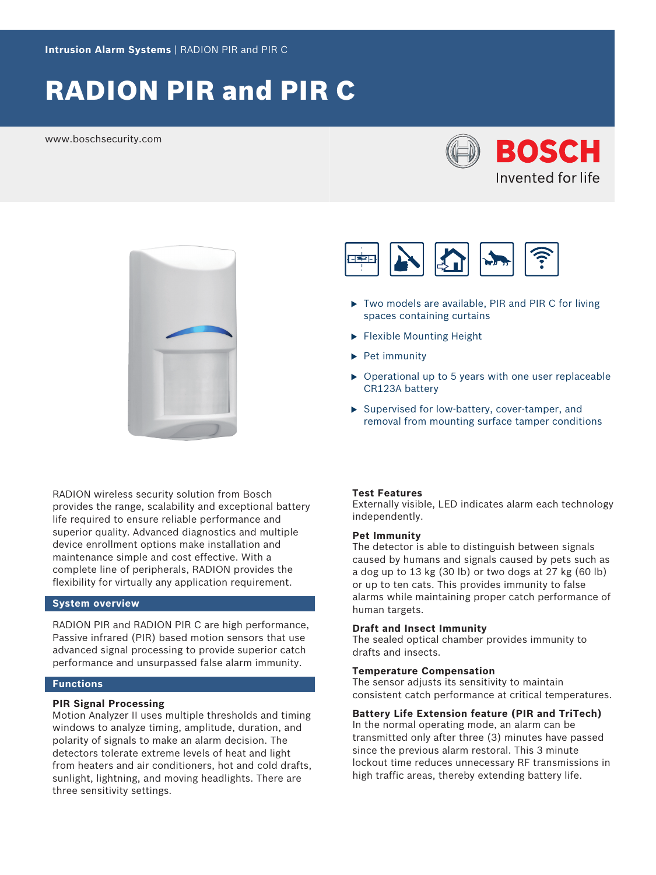# RADION PIR and PIR C

www.boschsecurity.com





RADION wireless security solution from Bosch provides the range, scalability and exceptional battery life required to ensure reliable performance and superior quality. Advanced diagnostics and multiple device enrollment options make installation and maintenance simple and cost effective. With a complete line of peripherals, RADION provides the flexibility for virtually any application requirement.

# **System overview**

RADION PIR and RADION PIR C are high performance, Passive infrared (PIR) based motion sensors that use advanced signal processing to provide superior catch performance and unsurpassed false alarm immunity.

# **Functions**

## **PIR Signal Processing**

Motion Analyzer II uses multiple thresholds and timing windows to analyze timing, amplitude, duration, and polarity of signals to make an alarm decision. The detectors tolerate extreme levels of heat and light from heaters and air conditioners, hot and cold drafts, sunlight, lightning, and moving headlights. There are three sensitivity settings.



- $\triangleright$  Two models are available, PIR and PIR C for living spaces containing curtains
- $\blacktriangleright$  Flexible Mounting Height
- $\blacktriangleright$  Pet immunity
- $\triangleright$  Operational up to 5 years with one user replaceable CR123A battery
- $\triangleright$  Supervised for low-battery, cover-tamper, and removal from mounting surface tamper conditions

#### **Test Features**

Externally visible, LED indicates alarm each technology independently.

#### **Pet Immunity**

The detector is able to distinguish between signals caused by humans and signals caused by pets such as a dog up to 13 kg (30 lb) or two dogs at 27 kg (60 lb) or up to ten cats. This provides immunity to false alarms while maintaining proper catch performance of human targets.

# **Draft and Insect Immunity**

The sealed optical chamber provides immunity to drafts and insects.

#### **Temperature Compensation**

The sensor adjusts its sensitivity to maintain consistent catch performance at critical temperatures.

# **Battery Life Extension feature (PIR and TriTech)**

In the normal operating mode, an alarm can be transmitted only after three (3) minutes have passed since the previous alarm restoral. This 3 minute lockout time reduces unnecessary RF transmissions in high traffic areas, thereby extending battery life.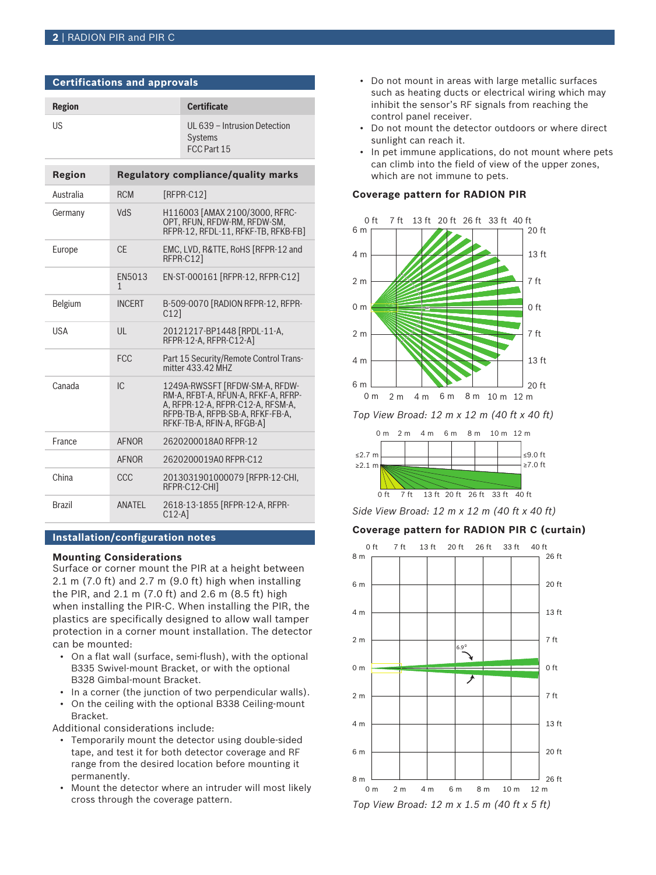**Certifications and approvals**

| <b>Region</b> | <b>Certificate</b>                             |
|---------------|------------------------------------------------|
| US            | UL 639 - Intrusion Detection<br><b>Systems</b> |

FCC Part 15

| Region        |               | Regulatory compliance/quality marks                                                                                                                                          |
|---------------|---------------|------------------------------------------------------------------------------------------------------------------------------------------------------------------------------|
| Australia     | <b>RCM</b>    | $[RFPR-C12]$                                                                                                                                                                 |
| Germany       | <b>NdS</b>    | H116003 [AMAX 2100/3000, RFRC-<br>OPT, RFUN, RFDW-RM, RFDW-SM,<br>RFPR-12, RFDL-11, RFKF-TB, RFKB-FB]                                                                        |
| Europe        | CF.           | EMC, LVD, R&TTE, RoHS [RFPR-12 and<br>RFPR-C121                                                                                                                              |
|               | EN5013<br>1   | EN-ST-000161 [RFPR-12, RFPR-C12]                                                                                                                                             |
| Belgium       | <b>INCFRT</b> | B-509-0070 [RADION RFPR-12, RFPR-<br>C121                                                                                                                                    |
| <b>USA</b>    | III           | 20121217-BP1448 [RPDL-11-A,<br>RFPR-12-A. RFPR-C12-AI                                                                                                                        |
|               | <b>FCC</b>    | Part 15 Security/Remote Control Trans-<br>mitter 433.42 MHZ                                                                                                                  |
| Canada        | IC.           | 1249A-RWSSFT [RFDW-SM-A, RFDW-<br>RM-A, RFBT-A, RFUN-A, RFKF-A, RFRP-<br>A. RFPR-12-A. RFPR-C12-A. RFSM-A.<br>RFPB-TB-A, RFPB-SB-A, RFKF-FB-A,<br>RFKF-TB-A, RFIN-A, RFGB-A1 |
| France        | <b>AFNOR</b>  | 2620200018A0 RFPR-12                                                                                                                                                         |
|               | <b>AFNOR</b>  | 2620200019A0 RFPR-C12                                                                                                                                                        |
| China         | CCC           | 2013031901000079 [RFPR-12-CHI,<br>RFPR-C12-CHII                                                                                                                              |
| <b>Brazil</b> | ANATEL        | 2618-13-1855 [RFPR-12-A, RFPR-<br>$C12-A$                                                                                                                                    |

### **Installation/configuration notes**

#### **Mounting Considerations**

Surface or corner mount the PIR at a height between 2.1 m (7.0 ft) and 2.7 m (9.0 ft) high when installing the PIR, and 2.1 m (7.0 ft) and 2.6 m (8.5 ft) high when installing the PIR-C. When installing the PIR, the plastics are specifically designed to allow wall tamper protection in a corner mount installation. The detector can be mounted:

- On a flat wall (surface, semi-flush), with the optional B335 Swivel-mount Bracket, or with the optional B328 Gimbal-mount Bracket.
- In a corner (the junction of two perpendicular walls).
- On the ceiling with the optional B338 Ceiling-mount Bracket.

Additional considerations include:

- Temporarily mount the detector using double-sided tape, and test it for both detector coverage and RF range from the desired location before mounting it permanently.
- Mount the detector where an intruder will most likely cross through the coverage pattern.
- Do not mount in areas with large metallic surfaces such as heating ducts or electrical wiring which may inhibit the sensor's RF signals from reaching the control panel receiver.
- Do not mount the detector outdoors or where direct sunlight can reach it.
- In pet immune applications, do not mount where pets can climb into the field of view of the upper zones, which are not immune to pets.

#### **Coverage pattern for RADION PIR**



*Top View Broad: 12 m x 12 m (40 ft x 40 ft)*



*Side View Broad: 12 m x 12 m (40 ft x 40 ft)*

# **Coverage pattern for RADION PIR C (curtain)**

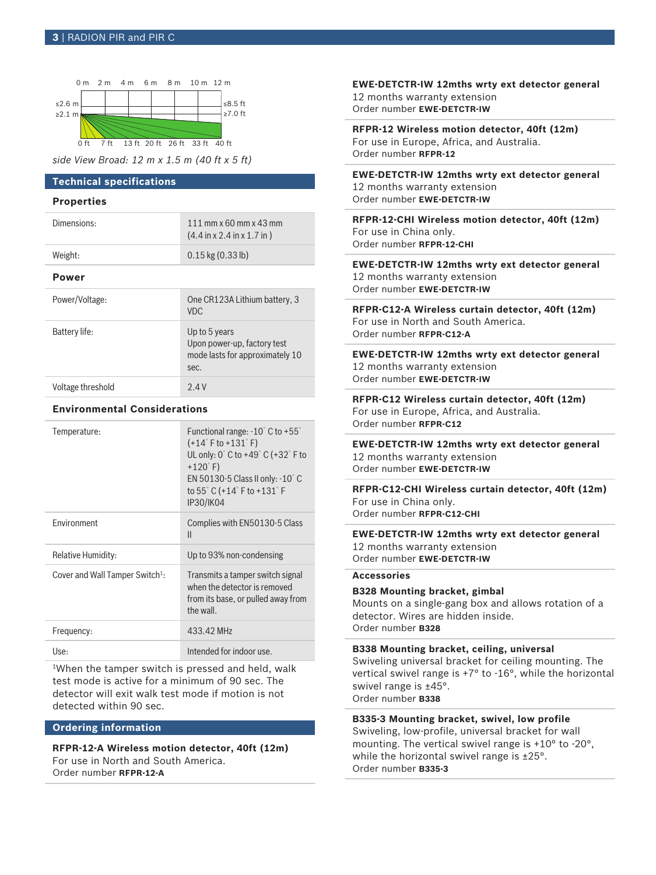

*side View Broad: 12 m x 1.5 m (40 ft x 5 ft)*

# **Technical specifications**

## **Properties**

| Dimensions:    | 111 mm $\times$ 60 mm $\times$ 43 mm<br>$(4.4 \text{ in } x 2.4 \text{ in } x 1.7 \text{ in})$ |
|----------------|------------------------------------------------------------------------------------------------|
| Weight:        | $0.15$ kg $(0.33$ lb)                                                                          |
| Power          |                                                                                                |
| Power/Voltage: | One CR123A Lithium battery, 3<br>VDC.                                                          |
| Battery life:  | Up to 5 years<br>Upon power-up, factory test                                                   |

sec.

mode lasts for approximately 10

| Voltage threshold | 2.4 V |
|-------------------|-------|
|                   |       |

# **Environmental Considerations**

| Temperature:                                | Functional range: $-10^{\circ}$ C to $+55^{\circ}$<br>$(+14°$ F to $+131°$ F)<br>UL only: $0^\circ$ C to +49 $^\circ$ C (+32 $^\circ$ F to<br>$+120^{\circ}$ F)<br>EN 50130-5 Class II only: $-10^{\circ}$ C<br>to 55° C (+14° F to +131° F<br><b>IP30/IK04</b> |
|---------------------------------------------|-----------------------------------------------------------------------------------------------------------------------------------------------------------------------------------------------------------------------------------------------------------------|
| <b>Fnvironment</b>                          | Complies with EN50130-5 Class<br>Ш                                                                                                                                                                                                                              |
| Relative Humidity:                          | Up to 93% non-condensing                                                                                                                                                                                                                                        |
| Cover and Wall Tamper Switch <sup>1</sup> : | Transmits a tamper switch signal<br>when the detector is removed<br>from its base, or pulled away from<br>the wall.                                                                                                                                             |
| Frequency:                                  | 433.42 MHz                                                                                                                                                                                                                                                      |
| Use:                                        | Intended for indoor use.                                                                                                                                                                                                                                        |

<sup>1</sup>When the tamper switch is pressed and held, walk test mode is active for a minimum of 90 sec. The detector will exit walk test mode if motion is not detected within 90 sec.

# **Ordering information**

**RFPR-12-A Wireless motion detector, 40ft (12m)** For use in North and South America. Order number **RFPR-12-A**

**EWE-DETCTR-IW 12mths wrty ext detector general** 12 months warranty extension Order number **EWE-DETCTR-IW**

**RFPR-12 Wireless motion detector, 40ft (12m)** For use in Europe, Africa, and Australia. Order number **RFPR-12**

**EWE-DETCTR-IW 12mths wrty ext detector general** 12 months warranty extension Order number **EWE-DETCTR-IW**

**RFPR-12-CHI Wireless motion detector, 40ft (12m)** For use in China only. Order number **RFPR-12-CHI**

**EWE-DETCTR-IW 12mths wrty ext detector general** 12 months warranty extension Order number **EWE-DETCTR-IW**

**RFPR-C12-A Wireless curtain detector, 40ft (12m)** For use in North and South America. Order number **RFPR-C12-A**

**EWE-DETCTR-IW 12mths wrty ext detector general** 12 months warranty extension Order number **EWE-DETCTR-IW**

**RFPR-C12 Wireless curtain detector, 40ft (12m)** For use in Europe, Africa, and Australia. Order number **RFPR-C12**

**EWE-DETCTR-IW 12mths wrty ext detector general** 12 months warranty extension Order number **EWE-DETCTR-IW**

**RFPR-C12-CHI Wireless curtain detector, 40ft (12m)** For use in China only. Order number **RFPR-C12-CHI**

**EWE-DETCTR-IW 12mths wrty ext detector general** 12 months warranty extension Order number **EWE-DETCTR-IW**

# **Accessories**

**B328 Mounting bracket, gimbal**

Mounts on a single-gang box and allows rotation of a detector. Wires are hidden inside. Order number **B328**

**B338 Mounting bracket, ceiling, universal**

Swiveling universal bracket for ceiling mounting. The vertical swivel range is +7° to -16°, while the horizontal swivel range is ±45°. Order number **B338**

#### **B335-3 Mounting bracket, swivel, low profile**

Swiveling, low-profile, universal bracket for wall mounting. The vertical swivel range is +10° to -20°, while the horizontal swivel range is ±25°. Order number **B335-3**